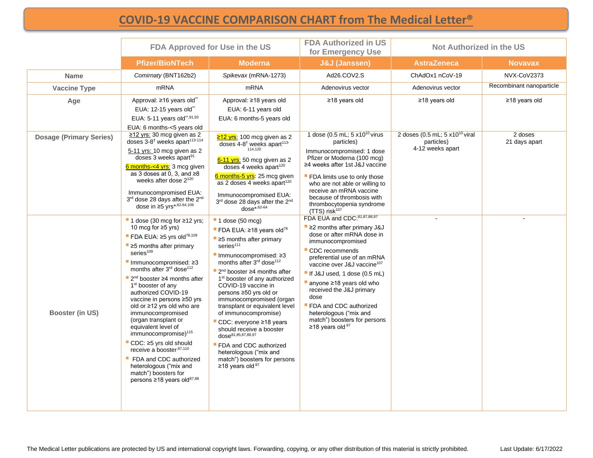# **[COVID-19 VACCINE COMPARISON CHART from The Medical Letter®](https://secure.medicalletter.org/)**

|                                | FDA Approved for Use in the US                                                                                                                                                                                                                                                                                                                                                                                                                                                                                                                                                                                                                                                                                                                                               |                                                                                                                                                                                                                                                                                                                                                                                                                                                                                                                                                                                                                                                                                                             | <b>FDA Authorized in US</b><br><b>Not Authorized in the US</b><br>for Emergency Use                                                                                                                                                                                                                                                                                                                                                                 |                                                                             |                          |
|--------------------------------|------------------------------------------------------------------------------------------------------------------------------------------------------------------------------------------------------------------------------------------------------------------------------------------------------------------------------------------------------------------------------------------------------------------------------------------------------------------------------------------------------------------------------------------------------------------------------------------------------------------------------------------------------------------------------------------------------------------------------------------------------------------------------|-------------------------------------------------------------------------------------------------------------------------------------------------------------------------------------------------------------------------------------------------------------------------------------------------------------------------------------------------------------------------------------------------------------------------------------------------------------------------------------------------------------------------------------------------------------------------------------------------------------------------------------------------------------------------------------------------------------|-----------------------------------------------------------------------------------------------------------------------------------------------------------------------------------------------------------------------------------------------------------------------------------------------------------------------------------------------------------------------------------------------------------------------------------------------------|-----------------------------------------------------------------------------|--------------------------|
|                                | <b>Pfizer/BioNTech</b>                                                                                                                                                                                                                                                                                                                                                                                                                                                                                                                                                                                                                                                                                                                                                       | <b>Moderna</b>                                                                                                                                                                                                                                                                                                                                                                                                                                                                                                                                                                                                                                                                                              | <b>J&amp;J (Janssen)</b>                                                                                                                                                                                                                                                                                                                                                                                                                            | <b>AstraZeneca</b>                                                          | <b>Novavax</b>           |
| <b>Name</b>                    | Comirnaty (BNT162b2)                                                                                                                                                                                                                                                                                                                                                                                                                                                                                                                                                                                                                                                                                                                                                         | Spikevax (mRNA-1273)                                                                                                                                                                                                                                                                                                                                                                                                                                                                                                                                                                                                                                                                                        | Ad26.COV2.S                                                                                                                                                                                                                                                                                                                                                                                                                                         | ChAdOx1 nCoV-19                                                             | NVX-CoV2373              |
| <b>Vaccine Type</b>            | m <sub>RNA</sub>                                                                                                                                                                                                                                                                                                                                                                                                                                                                                                                                                                                                                                                                                                                                                             | <b>mRNA</b>                                                                                                                                                                                                                                                                                                                                                                                                                                                                                                                                                                                                                                                                                                 | Adenovirus vector                                                                                                                                                                                                                                                                                                                                                                                                                                   | Adenovirus vector                                                           | Recombinant nanoparticle |
| Age                            | Approval: ≥16 years old"<br>EUA: 12-15 years old"<br>EUA: 5-11 years old**,91,93<br>EUA: 6 months-<5 years old                                                                                                                                                                                                                                                                                                                                                                                                                                                                                                                                                                                                                                                               | Approval: ≥18 years old<br>EUA: 6-11 years old<br>EUA: 6 months-5 years old                                                                                                                                                                                                                                                                                                                                                                                                                                                                                                                                                                                                                                 | ≥18 years old                                                                                                                                                                                                                                                                                                                                                                                                                                       | ≥18 years old                                                               | ≥18 years old            |
| <b>Dosage (Primary Series)</b> | ≥12 yrs: 30 mcg given as 2<br>doses $3-8$ <sup>†</sup> weeks apart <sup>113-114</sup><br>5-11 yrs: 10 mcg given as 2<br>doses 3 weeks apart <sup>91</sup><br>6 months- $<$ 4 yrs: 3 mcg given<br>as 3 doses at 0, 3, and $\geq 8$<br>weeks after dose 2 <sup>120</sup><br>Immunocompromised EUA:<br>3rd dose 28 days after the 2nd<br>dose in ≥5 yrs*,62-64,109                                                                                                                                                                                                                                                                                                                                                                                                              | $≥12$ yrs: 100 mcg given as 2<br>doses $4-8^{\dagger}$ weeks apart <sup>113-</sup><br>114.120<br>6-11 yrs: 50 mcg given as 2<br>doses 4 weeks apart <sup>120</sup><br>6 months-5 yrs: 25 mcg given<br>as 2 doses 4 weeks apart <sup>120</sup><br>Immunocompromised EUA:<br>3rd dose 28 days after the 2nd<br>dose $*$ ,62-64                                                                                                                                                                                                                                                                                                                                                                                | 1 dose (0.5 mL; $5 \times 10^{10}$ virus<br>particles)<br>Immunocompromised: 1 dose<br>Pfizer or Moderna (100 mcg)<br>≥4 weeks after 1st J&J vaccine<br><b>FDA limits use to only those</b><br>who are not able or willing to<br>receive an mRNA vaccine<br>because of thrombosis with<br>thrombocytopenia syndrome<br>$(TTS)$ risk <sup>107</sup>                                                                                                  | 2 doses (0.5 mL; $5 \times 10^{10}$ viral<br>particles)<br>4-12 weeks apart | 2 doses<br>21 days apart |
| Booster (in US)                | $\blacksquare$ 1 dose (30 mcg for $\geq$ 12 yrs;<br>10 mcg for $\geq$ 5 yrs)<br><b>FDA EUA: <math>\geq</math>5 vrs old</b> <sup>78,109</sup><br>$\blacktriangleright$ 25 months after primary<br>series <sup>109</sup><br>$\blacksquare$ Immunocompromised: $\geq$ 3<br>months after 3rd dose <sup>112</sup><br>$\blacksquare$ 2 <sup>nd</sup> booster $\geq$ 4 months after<br>1 <sup>st</sup> booster of any<br>authorized COVID-19<br>vaccine in persons ≥50 yrs<br>old or ≥12 yrs old who are<br>immunocompromised<br>(organ transplant or<br>equivalent level of<br>immunocompromise) <sup>115</sup><br>■ CDC: ≥5 yrs old should<br>receive a booster, 97,110<br>FDA and CDC authorized<br>heterologous ("mix and<br>match") boosters for<br>persons ≥18 years old87,88 | $\blacksquare$ 1 dose (50 mcg)<br><b>FDA EUA: <math>\geq</math>18 years old</b> <sup>78</sup><br>$\blacktriangleright$ $\geq$ 5 months after primary<br>series <sup>111</sup><br>$\blacksquare$ Immunocompromised: $\geq$ 3<br>months after 3rd dose <sup>112</sup><br>2 <sup>nd</sup> booster $\geq 4$ months after<br>1 <sup>st</sup> booster of any authorized<br>COVID-19 vaccine in<br>persons ≥50 yrs old or<br>immunocompromised (organ<br>transplant or equivalent level<br>of immunocompromise)<br>CDC: everyone ≥18 years<br>should receive a booster<br>dose <sup>81,85,87,88,97</sup><br>FDA and CDC authorized<br>heterologous ("mix and<br>match") boosters for persons<br>≥18 years old $87$ | FDA EUA and CDC:81,87,88,97<br>$\blacktriangleright$ 22 months after primary J&J<br>dose or after mRNA dose in<br>immunocompromised<br>CDC recommends<br>preferential use of an mRNA<br>vaccine over J&J vaccine <sup>107</sup><br>If $J&J$ used, 1 dose $(0.5$ mL)<br>anyone $\geq$ 18 years old who<br>received the J&J primary<br>dose<br>FDA and CDC authorized<br>heterologous ("mix and<br>match") boosters for persons<br>≥18 years old $87$ |                                                                             |                          |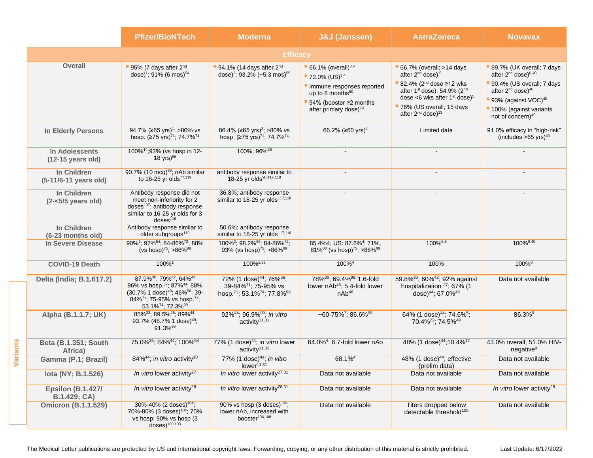|          |                                               | <b>Pfizer/BioNTech</b>                                                                                                                                                                                                                                                            | <b>Moderna</b>                                                                                                                                          | <b>J&amp;J (Janssen)</b>                                                                                                                                                                              | <b>AstraZeneca</b>                                                                                                                                                                                                                                                            | <b>Novavax</b>                                                                                                                                                                                                                                   |
|----------|-----------------------------------------------|-----------------------------------------------------------------------------------------------------------------------------------------------------------------------------------------------------------------------------------------------------------------------------------|---------------------------------------------------------------------------------------------------------------------------------------------------------|-------------------------------------------------------------------------------------------------------------------------------------------------------------------------------------------------------|-------------------------------------------------------------------------------------------------------------------------------------------------------------------------------------------------------------------------------------------------------------------------------|--------------------------------------------------------------------------------------------------------------------------------------------------------------------------------------------------------------------------------------------------|
|          |                                               |                                                                                                                                                                                                                                                                                   | <b>Efficacy</b>                                                                                                                                         |                                                                                                                                                                                                       |                                                                                                                                                                                                                                                                               |                                                                                                                                                                                                                                                  |
|          | <b>Overall</b>                                | 95% (7 days after $2^{nd}$<br>dose) <sup>1</sup> ; 91% (6 mos) <sup>54</sup>                                                                                                                                                                                                      | 94.1% (14 days after $2nd$<br>dose) <sup>2</sup> ; 93.2% (~5.3 mos) <sup>55</sup>                                                                       | $-66.1\%$ (overall) <sup>3,4</sup><br>$-72.0\%$ (US) <sup>3,4</sup><br>Immune responses reported<br>up to 8 months <sup>50</sup><br>94% (booster $\geq$ 2 months<br>after primary dose) <sup>79</sup> | $-66.7\%$ (overall; >14 days<br>after 2 <sup>nd</sup> dose) <sup>5</sup><br>■ 82.4% ( $2^{nd}$ dose ≥12 wks<br>after 1st dose); 54.9% (2 <sup>nd</sup><br>dose <6 wks after $1st$ dose) <sup>5</sup><br>76% (US overall; 15 days<br>after 2 <sup>nd</sup> dose) <sup>13</sup> | 89.7% (UK overall; 7 days<br>after 2 <sup>nd</sup> dose) <sup>6,40</sup><br>90.4% (US overall; 7 days<br>after 2 <sup>nd</sup> dose) <sup>40</sup><br>93% (against VOC) <sup>40</sup><br>100% (against variants<br>not of concern) <sup>40</sup> |
|          | <b>In Elderly Persons</b>                     | 94.7% (≥65 yrs) <sup>1</sup> ; >80% vs<br>hosp. $(275 \text{ yrs})^{71}$ ; 74.7% <sup>74</sup>                                                                                                                                                                                    | 86.4% (≥65 yrs) <sup>2</sup> ; >80% vs<br>hosp. (≥75 yrs) <sup>71</sup> , 74.7% <sup>74</sup>                                                           | 66.2% (≥60 yrs) <sup>4</sup>                                                                                                                                                                          | Limited data                                                                                                                                                                                                                                                                  | 91.0% efficacy in "high-risk"<br>(includes $>65$ yrs) <sup>40</sup>                                                                                                                                                                              |
|          | In Adolescents<br>$(12-15 \text{ years old})$ | 100% <sup>14</sup> ;93% (vs hosp in 12-<br>18 yrs) <sup>96</sup>                                                                                                                                                                                                                  | 100%; 96% <sup>26</sup>                                                                                                                                 |                                                                                                                                                                                                       |                                                                                                                                                                                                                                                                               |                                                                                                                                                                                                                                                  |
|          | In Children<br>(5-11/6-11 years old)          | 90.7% (10 mcg) <sup>89</sup> ; nAb similar<br>to 16-25 yr olds <sup>77,119</sup>                                                                                                                                                                                                  | antibody response similar to<br>18-25 yr olds <sup>90,117,118</sup>                                                                                     |                                                                                                                                                                                                       |                                                                                                                                                                                                                                                                               |                                                                                                                                                                                                                                                  |
|          | In Children<br>$(2 - 5/5$ years old)          | Antibody response did not<br>meet non-inferiority for 2<br>doses <sup>107</sup> ; antibody response<br>similar to 16-25 yr olds for 3<br>doses <sup>119</sup>                                                                                                                     | 36.8%; antibody response<br>similar to 18-25 yr olds <sup>117,118</sup>                                                                                 |                                                                                                                                                                                                       |                                                                                                                                                                                                                                                                               |                                                                                                                                                                                                                                                  |
|          | In Children<br>(6-23 months old)              | Antibody response similar to<br>older subgroups <sup>119</sup>                                                                                                                                                                                                                    | 50.6%; antibody response<br>similar to 18-25 yr olds <sup>117,118</sup>                                                                                 |                                                                                                                                                                                                       |                                                                                                                                                                                                                                                                               |                                                                                                                                                                                                                                                  |
|          | In Severe Disease                             | 90% <sup>1</sup> ; 97% <sup>54</sup> ; 84-86% <sup>72</sup> ; 88%<br>(vs hosp) <sup>75</sup> ; >86% <sup>99</sup>                                                                                                                                                                 | 100% <sup>2</sup> ; 98.2% <sup>55</sup> ; 84-86% <sup>72</sup> ;<br>93% (vs hosp) <sup>75</sup> ; >86% <sup>99</sup>                                    | 85.4%4; US: 87.6% <sup>4</sup> ; 71%,<br>81% <sup>80</sup> (vs hosp) <sup>75</sup> ; >86% <sup>99</sup>                                                                                               | $100\%^{5,8}$                                                                                                                                                                                                                                                                 | 100%9,40                                                                                                                                                                                                                                         |
|          | <b>COVID-19 Death</b>                         | 100%1                                                                                                                                                                                                                                                                             | 100% <sup>2,55</sup>                                                                                                                                    | 100% <sup>4</sup>                                                                                                                                                                                     | 100%                                                                                                                                                                                                                                                                          | 100% <sup>9</sup>                                                                                                                                                                                                                                |
|          | Delta (India; B.1.617.2)                      | 87.9% <sup>30</sup> ; 79% <sup>42</sup> , 64% <sup>43</sup><br>96% vs hosp. <sup>37</sup> ; 87% <sup>44</sup> ; 88%<br>(30.7% 1 dose) <sup>49</sup> ; 46% <sup>56</sup> ; 39-<br>84% <sup>71</sup> ; 75-95% vs hosp. <sup>71</sup> ;<br>53.1% <sup>74</sup> ; 72.3% <sup>99</sup> | 72% (1 dose) <sup>44</sup> ; 76% <sup>56</sup> ;<br>39-84% <sup>71</sup> ; 75-95% vs<br>hosp. <sup>71</sup> ; 53.1% <sup>74</sup> ; 77.8% <sup>99</sup> | 78% <sup>80</sup> ; 69.4% <sup>99;</sup> 1.6-fold<br>lower nAb <sup>46</sup> ; 5.4-fold lower<br>nAb <sup>48</sup>                                                                                    | 59.8% <sup>30</sup> ; 60% <sup>42</sup> ; 92% against<br>hospitalization 37; 67% (1<br>dose) <sup>44</sup> ; 67.0% <sup>49</sup>                                                                                                                                              | Data not available                                                                                                                                                                                                                               |
| Variants | Alpha (B.1.1.7; UK)                           | 85% <sup>23</sup> ; 89.5% <sup>25</sup> ; 89% <sup>44</sup> ;<br>93.7% (48.7% 1 dose) <sup>49</sup> ;<br>91.3% <sup>99</sup>                                                                                                                                                      | 92%44; 96.9% <sup>99</sup> ; in vitro<br>activity <sup>11,31</sup>                                                                                      | ~60-75% <sup>7</sup> ; 86.6% <sup>99</sup>                                                                                                                                                            | 64% (1 dose) <sup>44</sup> ; 74.6% <sup>5</sup> ;<br>70.4% <sup>22</sup> ; 74.5% <sup>49</sup>                                                                                                                                                                                | 86.3% <sup>9</sup>                                                                                                                                                                                                                               |
|          | <b>Beta (B.1.351; South</b><br>Africa)        | 75.0% <sup>25</sup> ; 84% <sup>44</sup> ; 100% <sup>54</sup>                                                                                                                                                                                                                      | 77% (1 dose) <sup>44</sup> ; in vitro lower<br>activity <sup>11,31</sup>                                                                                | 64.0% <sup>4</sup> ; 6.7-fold lower nAb                                                                                                                                                               | 48% (1 dose) <sup>44</sup> ;10.4% <sup>12</sup>                                                                                                                                                                                                                               | 43.0% overall; 51.0% HIV-<br>negative <sup>9</sup>                                                                                                                                                                                               |
|          | Gamma (P.1; Brazil)                           | 84% <sup>44</sup> ; in vitro activity <sup>10</sup>                                                                                                                                                                                                                               | 77% (1 dose) <sup>44</sup> ; in vitro<br>lower <sup>11,31</sup>                                                                                         | 68.1%4                                                                                                                                                                                                | 48% (1 dose) <sup>44</sup> ; effective<br>(prelim data)                                                                                                                                                                                                                       | Data not available                                                                                                                                                                                                                               |
|          | lota (NY; B.1.526)                            | In vitro lower activity <sup>27</sup>                                                                                                                                                                                                                                             | In vitro lower activity <sup>27,31</sup>                                                                                                                | Data not available                                                                                                                                                                                    | Data not available                                                                                                                                                                                                                                                            | Data not available                                                                                                                                                                                                                               |
|          | <b>Epsilon (B.1.427/</b><br>B.1.429; CA)      | In vitro lower activity <sup>28</sup>                                                                                                                                                                                                                                             | In vitro lower activity <sup>28,31</sup>                                                                                                                | Data not available                                                                                                                                                                                    | Data not available                                                                                                                                                                                                                                                            | In vitro lower activity <sup>28</sup>                                                                                                                                                                                                            |
|          | <b>Omicron (B.1.1.529)</b>                    | 30%-40% (2 doses) <sup>104</sup> ;<br>70%-80% (3 doses) <sup>104</sup> ; 70%<br>vs hosp; 90% vs hosp (3)<br>$doses)$ <sup>100,103</sup>                                                                                                                                           | 90% vs hosp $(3 \text{ doses})^{100}$ ;<br>lower nAb, increased with<br>booster <sup>106,108</sup>                                                      | Data not available                                                                                                                                                                                    | Titers dropped below<br>detectable threshold <sup>105</sup>                                                                                                                                                                                                                   | Data not available                                                                                                                                                                                                                               |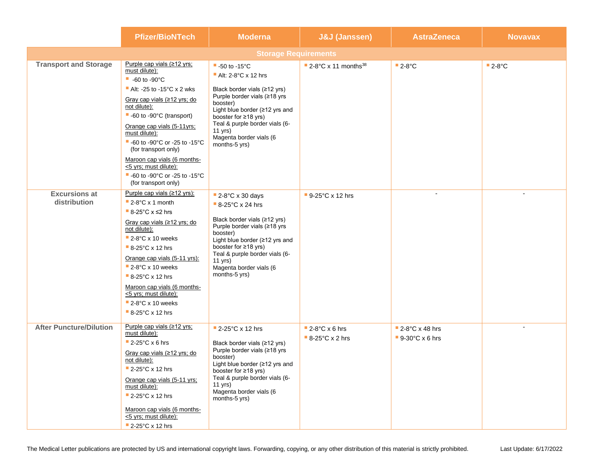|                                      | <b>Pfizer/BioNTech</b>                                                                                                                                                                                                                                                                                                                                                                                                                                              | <b>Moderna</b>                                                                                                                                                                                                                                                                             | <b>J&amp;J</b> (Janssen)                       | <b>AstraZeneca</b>                              | <b>Novavax</b> |  |  |
|--------------------------------------|---------------------------------------------------------------------------------------------------------------------------------------------------------------------------------------------------------------------------------------------------------------------------------------------------------------------------------------------------------------------------------------------------------------------------------------------------------------------|--------------------------------------------------------------------------------------------------------------------------------------------------------------------------------------------------------------------------------------------------------------------------------------------|------------------------------------------------|-------------------------------------------------|----------------|--|--|
|                                      | <b>Storage Requirements</b>                                                                                                                                                                                                                                                                                                                                                                                                                                         |                                                                                                                                                                                                                                                                                            |                                                |                                                 |                |  |  |
| <b>Transport and Storage</b>         | Purple cap vials (≥12 yrs;<br>must dilute):<br>$-60$ to -90 $^{\circ}$ C<br>Alt: -25 to -15 $\degree$ C x 2 wks<br>Gray cap vials (≥12 yrs; do<br>not dilute):<br>■ -60 to -90°C (transport)<br>Orange cap vials (5-11yrs;<br>must dilute):<br>$-60$ to -90 $^{\circ}$ C or -25 to -15 $^{\circ}$ C<br>(for transport only)<br>Maroon cap vials (6 months-<br><5 yrs; must dilute):<br>$-60$ to -90 $^{\circ}$ C or -25 to -15 $^{\circ}$ C<br>(for transport only) | $-50$ to -15 $^{\circ}$ C<br>Alt: $2-8$ °C x 12 hrs<br>Black border vials $(≥12$ yrs)<br>Purple border vials (≥18 yrs<br>booster)<br>Light blue border (≥12 yrs and<br>booster for $\geq 18$ yrs)<br>Teal & purple border vials (6-<br>11 yrs)<br>Magenta border vials (6<br>months-5 yrs) | $\blacksquare$ 2-8°C x 11 months <sup>38</sup> | $-2-8$ °C                                       | $-2-8$ °C      |  |  |
| <b>Excursions at</b><br>distribution | Purple cap vials $(≥12$ yrs):<br>$-2.8$ °C x 1 month<br>$8-25^{\circ}$ C x $\leq$ 2 hrs<br>Gray cap vials (≥12 yrs; do<br>not dilute):<br>$\blacksquare$ 2-8°C x 10 weeks<br>$-8-25$ °C x 12 hrs<br>Orange cap vials (5-11 yrs):<br>$\blacksquare$ 2-8°C x 10 weeks<br>$-8-25$ °C x 12 hrs<br>Maroon cap vials (6 months-<br><5 yrs; must dilute):<br>$\blacksquare$ 2-8°C x 10 weeks<br>$-8-25$ °C x 12 hrs                                                        | $\blacksquare$ 2-8°C x 30 days<br>$-8-25$ °C x 24 hrs<br>Black border vials $(≥12$ yrs)<br>Purple border vials (≥18 yrs<br>booster)<br>Light blue border (≥12 yrs and<br>booster for ≥18 yrs)<br>Teal & purple border vials (6-<br>$11$ yrs)<br>Magenta border vials (6<br>months-5 yrs)   | $9-25^{\circ}$ C x 12 hrs                      |                                                 |                |  |  |
| <b>After Puncture/Dilution</b>       | Purple cap vials (≥12 yrs;<br>must dilute):<br>$2-25^{\circ}$ C x 6 hrs<br>Gray cap vials (≥12 yrs; do<br>not dilute):<br>2-25°C x 12 hrs<br>Orange cap vials (5-11 yrs;<br>must dilute):<br>2-25°C x 12 hrs<br>Maroon cap vials (6 months-<br><5 yrs; must dilute):<br>2-25°C x 12 hrs                                                                                                                                                                             | $\blacksquare$ 2-25°C x 12 hrs<br>Black border vials $(≥12$ yrs)<br>Purple border vials (≥18 yrs<br>booster)<br>Light blue border (≥12 yrs and<br>booster for ≥18 yrs)<br>Teal & purple border vials (6-<br>$11$ yrs)<br>Magenta border vials (6<br>months-5 yrs)                          | $2-8$ °C x 6 hrs<br>$-8-25^{\circ}$ C x 2 hrs  | $-2.8^{\circ}$ C x 48 hrs<br>$-9-30$ °C x 6 hrs |                |  |  |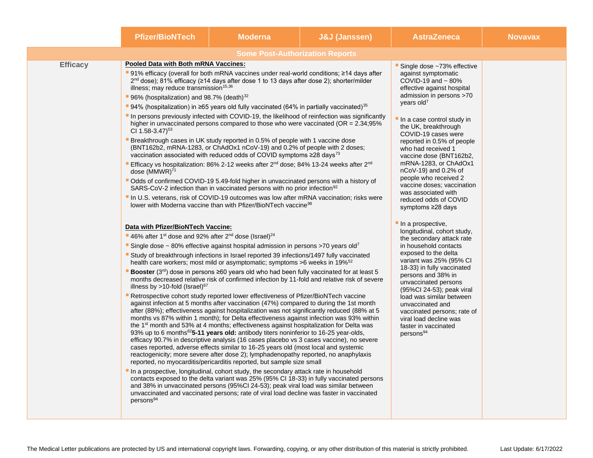|                 | <b>Pfizer/BioNTech</b>                                                                                                                                             | <b>Moderna</b>                                                                                                                                                                                                                                                                                                                                                                                                                                                                                                                                                                                                                                                                                                                                                                                                                                                                                                                                                                                                                                                                                                                                                                                                                                                                                                                                                                                                                                                                                                                                                                                                                                                                                                                                                                                             | <b>J&amp;J (Janssen)</b> | <b>AstraZeneca</b>                                                                                                                                                                                                                                                                                                                                                                                                                                                                                                                                            | <b>Novavax</b> |
|-----------------|--------------------------------------------------------------------------------------------------------------------------------------------------------------------|------------------------------------------------------------------------------------------------------------------------------------------------------------------------------------------------------------------------------------------------------------------------------------------------------------------------------------------------------------------------------------------------------------------------------------------------------------------------------------------------------------------------------------------------------------------------------------------------------------------------------------------------------------------------------------------------------------------------------------------------------------------------------------------------------------------------------------------------------------------------------------------------------------------------------------------------------------------------------------------------------------------------------------------------------------------------------------------------------------------------------------------------------------------------------------------------------------------------------------------------------------------------------------------------------------------------------------------------------------------------------------------------------------------------------------------------------------------------------------------------------------------------------------------------------------------------------------------------------------------------------------------------------------------------------------------------------------------------------------------------------------------------------------------------------------|--------------------------|---------------------------------------------------------------------------------------------------------------------------------------------------------------------------------------------------------------------------------------------------------------------------------------------------------------------------------------------------------------------------------------------------------------------------------------------------------------------------------------------------------------------------------------------------------------|----------------|
|                 |                                                                                                                                                                    | <b>Some Post-Authorization Reports</b>                                                                                                                                                                                                                                                                                                                                                                                                                                                                                                                                                                                                                                                                                                                                                                                                                                                                                                                                                                                                                                                                                                                                                                                                                                                                                                                                                                                                                                                                                                                                                                                                                                                                                                                                                                     |                          |                                                                                                                                                                                                                                                                                                                                                                                                                                                                                                                                                               |                |
| <b>Efficacy</b> | CI 1.58-3.47) <sup>53</sup><br>dose (MMWR) <sup>71</sup>                                                                                                           | Pooled Data with Both mRNA Vaccines:<br>91% efficacy (overall for both mRNA vaccines under real-world conditions; ≥14 days after<br>$2nd$ dose); 81% efficacy (≥14 days after dose 1 to 13 days after dose 2); shorter/milder<br>illness; may reduce transmission <sup>15,36</sup><br>96% (hospitalization) and 98.7% (death) <sup>32</sup><br>■ 94% (hospitalization) in ≥65 years old fully vaccinated (64% in partially vaccinated) <sup>35</sup><br>In persons previously infected with COVID-19, the likelihood of reinfection was significantly<br>higher in unvaccinated persons compared to those who were vaccinated ( $OR = 2.34;95\%$<br>Breakthrough cases in UK study reported in 0.5% of people with 1 vaccine dose<br>(BNT162b2, mRNA-1283, or ChAdOx1 nCoV-19) and 0.2% of people with 2 doses;<br>vaccination associated with reduced odds of COVID symptoms $\geq 28$ days <sup>73</sup><br>Efficacy vs hospitalization: 86% 2-12 weeks after 2 <sup>nd</sup> dose; 84% 13-24 weeks after 2 <sup>nd</sup><br>" Odds of confirmed COVID-19 5.49-fold higher in unvaccinated persons with a history of<br>SARS-CoV-2 infection than in vaccinated persons with no prior infection <sup>92</sup><br>In U.S. veterans, risk of COVID-19 outcomes was low after mRNA vaccination; risks were<br>lower with Moderna vaccine than with Pfizer/BioNTech vaccine <sup>98</sup><br>Data with Pfizer/BioNTech Vaccine:                                                                                                                                                                                                                                                                                                                                                                              |                          | Single dose ~73% effective<br>against symptomatic<br>COVID-19 and $\sim$ 80%<br>effective against hospital<br>admission in persons >70<br>years old <sup>7</sup><br>In a case control study in<br>the UK, breakthrough<br>COVID-19 cases were<br>reported in 0.5% of people<br>who had received 1<br>vaccine dose (BNT162b2,<br>mRNA-1283, or ChAdOx1<br>nCoV-19) and 0.2% of<br>people who received 2<br>vaccine doses; vaccination<br>was associated with<br>reduced odds of COVID<br>symptoms ≥28 days<br>In a prospective,<br>longitudinal, cohort study, |                |
|                 | 46% after 1 <sup>st</sup> dose and 92% after 2 <sup>nd</sup> dose (Israel) <sup>24</sup><br>illness by $>10$ -fold (Israel) <sup>67</sup><br>persons <sup>94</sup> | "Single dose ~ 80% effective against hospital admission in persons >70 years old <sup>7</sup><br>Study of breakthrough infections in Israel reported 39 infections/1497 fully vaccinated<br>health care workers; most mild or asymptomatic; symptoms >6 weeks in 19% <sup>52</sup><br><b>Booster</b> ( $3rd$ ) dose in persons $\geq 60$ years old who had been fully vaccinated for at least 5<br>months decreased relative risk of confirmed infection by 11-fold and relative risk of severe<br>Retrospective cohort study reported lower effectiveness of Pfizer/BioNTech vaccine<br>against infection at 5 months after vaccination (47%) compared to during the 1st month<br>after (88%); effectiveness against hospitalization was not significantly reduced (88% at 5<br>months vs 87% within 1 month); for Delta effectiveness against infection was 93% within<br>the 1 <sup>st</sup> month and 53% at 4 months; effectiveness against hospitalization for Delta was<br>93% up to 6 months <sup>82</sup> 5-11 years old: antibody titers noninferior to 16-25 year-olds,<br>efficacy 90.7% in descriptive analysis (16 cases placebo vs 3 cases vaccine), no severe<br>cases reported, adverse effects similar to 16-25 years old (most local and systemic<br>reactogenicity; more severe after dose 2); lymphadenopathy reported, no anaphylaxis<br>reported, no myocarditis/pericarditis reported, but sample size small<br>In a prospective, longitudinal, cohort study, the secondary attack rate in household<br>contacts exposed to the delta variant was 25% (95% CI 18-33) in fully vaccinated persons<br>and 38% in unvaccinated persons (95%Cl 24-53); peak viral load was similar between<br>unvaccinated and vaccinated persons; rate of viral load decline was faster in vaccinated |                          | the secondary attack rate<br>in household contacts<br>exposed to the delta<br>variant was 25% (95% CI<br>18-33) in fully vaccinated<br>persons and 38% in<br>unvaccinated persons<br>(95%Cl 24-53); peak viral<br>load was similar between<br>unvaccinated and<br>vaccinated persons; rate of<br>viral load decline was<br>faster in vaccinated<br>persons <sup>94</sup>                                                                                                                                                                                      |                |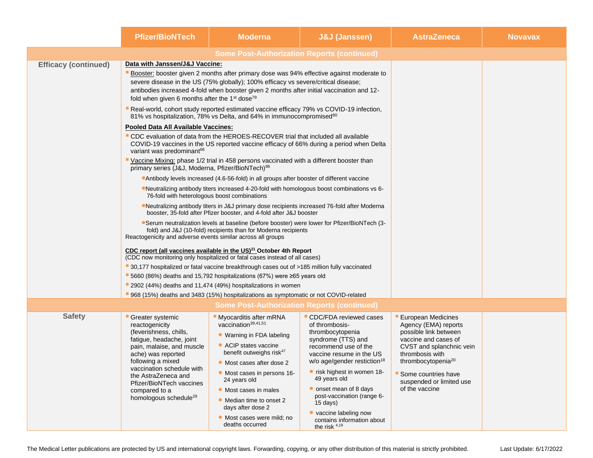|                             | <b>Pfizer/BioNTech</b>                                                                                                                                                                                                                                                                                                                                       | <b>Moderna</b>                                                                                                                                                                                                                                                                                                                                                                                                                                                                                                                                                                                                                                                                                                                                                                                                                                                                                                                                                                                                                                                                                                                                                                                                                                                                                                                                                                                                                                                                                                                                                                                                                                                                                                                                                                 | <b>J&amp;J (Janssen)</b>                                                                                                                                                                                                                                                                                                                                                                   | <b>AstraZeneca</b>                                                                                                                                                                                                                                       | <b>Novavax</b> |
|-----------------------------|--------------------------------------------------------------------------------------------------------------------------------------------------------------------------------------------------------------------------------------------------------------------------------------------------------------------------------------------------------------|--------------------------------------------------------------------------------------------------------------------------------------------------------------------------------------------------------------------------------------------------------------------------------------------------------------------------------------------------------------------------------------------------------------------------------------------------------------------------------------------------------------------------------------------------------------------------------------------------------------------------------------------------------------------------------------------------------------------------------------------------------------------------------------------------------------------------------------------------------------------------------------------------------------------------------------------------------------------------------------------------------------------------------------------------------------------------------------------------------------------------------------------------------------------------------------------------------------------------------------------------------------------------------------------------------------------------------------------------------------------------------------------------------------------------------------------------------------------------------------------------------------------------------------------------------------------------------------------------------------------------------------------------------------------------------------------------------------------------------------------------------------------------------|--------------------------------------------------------------------------------------------------------------------------------------------------------------------------------------------------------------------------------------------------------------------------------------------------------------------------------------------------------------------------------------------|----------------------------------------------------------------------------------------------------------------------------------------------------------------------------------------------------------------------------------------------------------|----------------|
|                             |                                                                                                                                                                                                                                                                                                                                                              |                                                                                                                                                                                                                                                                                                                                                                                                                                                                                                                                                                                                                                                                                                                                                                                                                                                                                                                                                                                                                                                                                                                                                                                                                                                                                                                                                                                                                                                                                                                                                                                                                                                                                                                                                                                |                                                                                                                                                                                                                                                                                                                                                                                            |                                                                                                                                                                                                                                                          |                |
| <b>Efficacy (continued)</b> | Data with Janssen/J&J Vaccine:<br>fold when given 6 months after the $1st$ dose <sup>79</sup><br>Pooled Data All Available Vaccines:<br>variant was predominant <sup>66</sup><br>primary series (J&J, Moderna, Pfizer/BioNTech) <sup>86</sup><br>76-fold with heterologous boost combinations<br>Reactogenicity and adverse events similar across all groups | Booster: booster given 2 months after primary dose was 94% effective against moderate to<br>severe disease in the US (75% globally); 100% efficacy vs severe/critical disease;<br>antibodies increased 4-fold when booster given 2 months after initial vaccination and 12-<br>Real-world, cohort study reported estimated vaccine efficacy 79% vs COVID-19 infection,<br>81% vs hospitalization, 78% vs Delta, and 64% in immunocompromised <sup>80</sup><br>" CDC evaluation of data from the HEROES-RECOVER trial that included all available<br>COVID-19 vaccines in the US reported vaccine efficacy of 66% during a period when Delta<br>Vaccine Mixing: phase 1/2 trial in 458 persons vaccinated with a different booster than<br><b>Antibody levels increased (4.6-56-fold) in all groups after booster of different vaccine</b><br>•Neutralizing antibody titers increased 4-20-fold with homologous boost combinations vs 6-<br>• Neutralizing antibody titers in J&J primary dose recipients increased 76-fold after Moderna<br>booster, 35-fold after Pfizer booster, and 4-fold after J&J booster<br>•Serum neutralization levels at baseline (before booster) were lower for Pfizer/BioNTech (3-<br>fold) and J&J (10-fold) recipients than for Moderna recipients<br>CDC report (all vaccines available in the $US)^{21}$ October 4th Report<br>(CDC now monitoring only hospitalized or fatal cases instead of all cases)<br>30,177 hospitalized or fatal vaccine breakthrough cases out of >185 million fully vaccinated<br>■ 5660 (86%) deaths and 15,792 hospitalizations (67%) were ≥65 years old<br>2902 (44%) deaths and 11,474 (49%) hospitalizations in women<br>968 (15%) deaths and 3483 (15%) hospitalizations as symptomatic or not COVID-related |                                                                                                                                                                                                                                                                                                                                                                                            |                                                                                                                                                                                                                                                          |                |
| <b>Safety</b>               | Greater systemic<br>reactogenicity<br>(feverishness, chills,<br>fatigue, headache, joint<br>pain, malaise, and muscle<br>ache) was reported<br>following a mixed<br>vaccination schedule with<br>the AstraZeneca and<br>Pfizer/BioNTech vaccines<br>compared to a<br>homologous schedule <sup>29</sup>                                                       | <b>Some Post-Authorization Reports (continued)</b><br><b>Myocarditis after mRNA</b><br>vaccination <sup>39,41,51</sup><br>• Warning in FDA labeling<br>• ACIP states vaccine<br>benefit outweighs risk <sup>47</sup><br>• Most cases after dose 2<br>• Most cases in persons 16-<br>24 years old<br>• Most cases in males<br>• Median time to onset 2<br>days after dose 2<br>• Most cases were mild; no<br>deaths occurred                                                                                                                                                                                                                                                                                                                                                                                                                                                                                                                                                                                                                                                                                                                                                                                                                                                                                                                                                                                                                                                                                                                                                                                                                                                                                                                                                    | CDC/FDA reviewed cases<br>of thrombosis-<br>thrombocytopenia<br>syndrome (TTS) and<br>recommend use of the<br>vaccine resume in the US<br>$w/o$ age/gender restiction <sup>18</sup><br>• risk highest in women 18-<br>49 years old<br>• onset mean of 8 days<br>post-vaccination (range 6-<br>$15 \text{ days}$<br>• vaccine labeling now<br>contains information about<br>the risk $4,19$ | <b>European Medicines</b><br>Agency (EMA) reports<br>possible link between<br>vaccine and cases of<br>CVST and splanchnic vein<br>thrombosis with<br>thrombocytopenia <sup>20</sup><br>Some countries have<br>suspended or limited use<br>of the vaccine |                |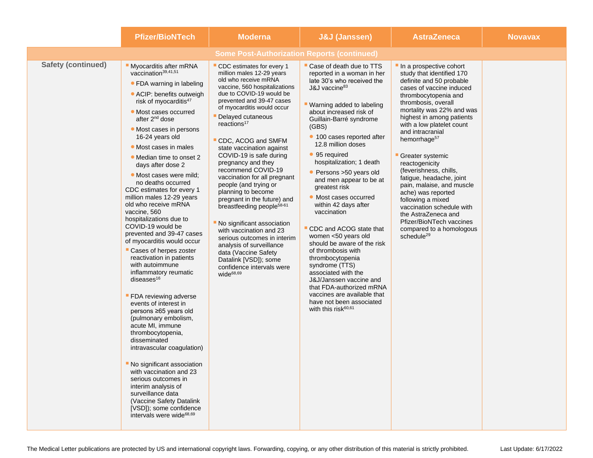|                           | <b>Pfizer/BioNTech</b>                                                                                                                                                                                                                                                                                                                                                                                                                                                                                                                                                                                                                                                                                                                                                                                                                                                                                                                                                                                                                                                                                                                               | <b>Moderna</b>                                                                                                                                                                                                                                                                                                                                                                                                                                                                                                                                                                                                                                                                                                                                                     | <b>J&amp;J (Janssen)</b>                                                                                                                                                                                                                                                                                                                                                                                                                                                                                                                                                                                                                                                                                                                                                           | <b>AstraZeneca</b>                                                                                                                                                                                                                                                                                                                                                                                                                                                                                                                                                                                           | <b>Novavax</b> |  |
|---------------------------|------------------------------------------------------------------------------------------------------------------------------------------------------------------------------------------------------------------------------------------------------------------------------------------------------------------------------------------------------------------------------------------------------------------------------------------------------------------------------------------------------------------------------------------------------------------------------------------------------------------------------------------------------------------------------------------------------------------------------------------------------------------------------------------------------------------------------------------------------------------------------------------------------------------------------------------------------------------------------------------------------------------------------------------------------------------------------------------------------------------------------------------------------|--------------------------------------------------------------------------------------------------------------------------------------------------------------------------------------------------------------------------------------------------------------------------------------------------------------------------------------------------------------------------------------------------------------------------------------------------------------------------------------------------------------------------------------------------------------------------------------------------------------------------------------------------------------------------------------------------------------------------------------------------------------------|------------------------------------------------------------------------------------------------------------------------------------------------------------------------------------------------------------------------------------------------------------------------------------------------------------------------------------------------------------------------------------------------------------------------------------------------------------------------------------------------------------------------------------------------------------------------------------------------------------------------------------------------------------------------------------------------------------------------------------------------------------------------------------|--------------------------------------------------------------------------------------------------------------------------------------------------------------------------------------------------------------------------------------------------------------------------------------------------------------------------------------------------------------------------------------------------------------------------------------------------------------------------------------------------------------------------------------------------------------------------------------------------------------|----------------|--|
|                           | <b>Some Post-Authorization Reports (continued)</b>                                                                                                                                                                                                                                                                                                                                                                                                                                                                                                                                                                                                                                                                                                                                                                                                                                                                                                                                                                                                                                                                                                   |                                                                                                                                                                                                                                                                                                                                                                                                                                                                                                                                                                                                                                                                                                                                                                    |                                                                                                                                                                                                                                                                                                                                                                                                                                                                                                                                                                                                                                                                                                                                                                                    |                                                                                                                                                                                                                                                                                                                                                                                                                                                                                                                                                                                                              |                |  |
| <b>Safety (continued)</b> | Myocarditis after mRNA<br>vaccination <sup>39,41,51</sup><br>• FDA warning in labeling<br>• ACIP: benefits outweigh<br>risk of myocarditis <sup>47</sup><br>• Most cases occurred<br>after 2 <sup>nd</sup> dose<br>• Most cases in persons<br>16-24 years old<br>• Most cases in males<br>• Median time to onset 2<br>days after dose 2<br>· Most cases were mild:<br>no deaths occurred<br>CDC estimates for every 1<br>million males 12-29 years<br>old who receive mRNA<br>vaccine, 560<br>hospitalizations due to<br>COVID-19 would be<br>prevented and 39-47 cases<br>of myocarditis would occur<br>Cases of herpes zoster<br>reactivation in patients<br>with autoimmune<br>inflammatory reumatic<br>diseases $16$<br><b>FDA</b> reviewing adverse<br>events of interest in<br>persons ≥65 years old<br>(pulmonary embolism,<br>acute MI, immune<br>thrombocytopenia,<br>disseminated<br>intravascular coagulation)<br>No significant association<br>with vaccination and 23<br>serious outcomes in<br>interim analysis of<br>surveillance data<br>(Vaccine Safety Datalink<br>[VSD]); some confidence<br>intervals were wide <sup>68,69</sup> | CDC estimates for every 1<br>million males 12-29 years<br>old who receive mRNA<br>vaccine, 560 hospitalizations<br>due to COVID-19 would be<br>prevented and 39-47 cases<br>of myocarditis would occur<br>Delayed cutaneous<br>reactions <sup>17</sup><br>CDC, ACOG and SMFM<br>state vaccination against<br>COVID-19 is safe during<br>pregnancy and they<br>recommend COVID-19<br>vaccination for all pregnant<br>people (and trying or<br>planning to become<br>pregnant in the future) and<br>breastfeeding people <sup>58-61</sup><br>No significant association<br>with vaccination and 23<br>serious outcomes in interim<br>analysis of surveillance<br>data (Vaccine Safety<br>Datalink [VSD]); some<br>confidence intervals were<br>wide <sup>68,69</sup> | " Case of death due to TTS<br>reported in a woman in her<br>late 30's who received the<br>J&J vaccine <sup>83</sup><br>" Warning added to labeling<br>about increased risk of<br>Guillain-Barré syndrome<br>(GBS)<br>• 100 cases reported after<br>12.8 million doses<br>• 95 required<br>hospitalization; 1 death<br>• Persons >50 years old<br>and men appear to be at<br>greatest risk<br>• Most cases occurred<br>within 42 days after<br>vaccination<br>CDC and ACOG state that<br>women <50 years old<br>should be aware of the risk<br>of thrombosis with<br>thrombocytopenia<br>syndrome (TTS)<br>associated with the<br>J&J/Janssen vaccine and<br>that FDA-authorized mRNA<br>vaccines are available that<br>have not been associated<br>with this risk <sup>60,61</sup> | In a prospective cohort<br>study that identified 170<br>definite and 50 probable<br>cases of vaccine induced<br>thrombocytopenia and<br>thrombosis, overall<br>mortality was 22% and was<br>highest in among patients<br>with a low platelet count<br>and intracranial<br>hemorrhage <sup>57</sup><br>Greater systemic<br>reactogenicity<br>(feverishness, chills,<br>fatigue, headache, joint<br>pain, malaise, and muscle<br>ache) was reported<br>following a mixed<br>vaccination schedule with<br>the AstraZeneca and<br>Pfizer/BioNTech vaccines<br>compared to a homologous<br>schedule <sup>29</sup> |                |  |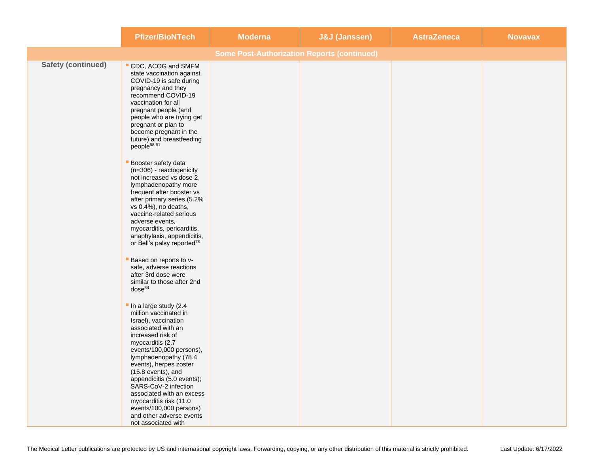|                           | <b>Pfizer/BioNTech</b>                                                                                                                                                                                                                                                                                                                                                                                                                | <b>Moderna</b>                                     | <b>J&amp;J (Janssen)</b> | <b>AstraZeneca</b> | <b>Novavax</b> |
|---------------------------|---------------------------------------------------------------------------------------------------------------------------------------------------------------------------------------------------------------------------------------------------------------------------------------------------------------------------------------------------------------------------------------------------------------------------------------|----------------------------------------------------|--------------------------|--------------------|----------------|
|                           |                                                                                                                                                                                                                                                                                                                                                                                                                                       | <b>Some Post-Authorization Reports (continued)</b> |                          |                    |                |
| <b>Safety (continued)</b> | CDC, ACOG and SMFM<br>state vaccination against<br>COVID-19 is safe during<br>pregnancy and they<br>recommend COVID-19<br>vaccination for all<br>pregnant people (and<br>people who are trying get<br>pregnant or plan to<br>become pregnant in the<br>future) and breastfeeding<br>people <sup>58-61</sup>                                                                                                                           |                                                    |                          |                    |                |
|                           | Booster safety data<br>(n=306) - reactogenicity<br>not increased vs dose 2,<br>lymphadenopathy more<br>frequent after booster vs<br>after primary series (5.2%<br>vs 0.4%), no deaths,<br>vaccine-related serious<br>adverse events,<br>myocarditis, pericarditis,<br>anaphylaxis, appendicitis,<br>or Bell's palsy reported <sup>76</sup>                                                                                            |                                                    |                          |                    |                |
|                           | Based on reports to v-<br>safe, adverse reactions<br>after 3rd dose were<br>similar to those after 2nd<br>dose <sup>84</sup>                                                                                                                                                                                                                                                                                                          |                                                    |                          |                    |                |
|                           | In a large study (2.4<br>million vaccinated in<br>Israel), vaccination<br>associated with an<br>increased risk of<br>myocarditis (2.7<br>events/100,000 persons),<br>lymphadenopathy (78.4<br>events), herpes zoster<br>(15.8 events), and<br>appendicitis (5.0 events);<br>SARS-CoV-2 infection<br>associated with an excess<br>myocarditis risk (11.0<br>events/100,000 persons)<br>and other adverse events<br>not associated with |                                                    |                          |                    |                |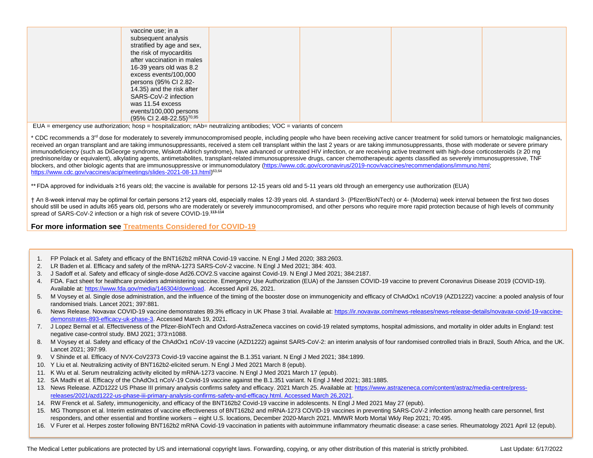| vaccine use; in a<br>subsequent analysis<br>stratified by age and sex,<br>the risk of myocarditis<br>after vaccination in males<br>16-39 years old was 8.2<br>excess events/100,000<br>persons (95% CI 2.82-<br>14.35) and the risk after<br>SARS-CoV-2 infection<br>was 11.54 excess<br>events/100,000 persons |  |  |
|-----------------------------------------------------------------------------------------------------------------------------------------------------------------------------------------------------------------------------------------------------------------------------------------------------------------|--|--|
| (95% CI 2.48-22.55) <sup>70,95</sup>                                                                                                                                                                                                                                                                            |  |  |

 $EUA$  = emergency use authorization; hosp = hospitalization;  $nAb$  = neutralizing antibodies; VOC = variants of concern

\* CDC recommends a 3<sup>rd</sup> dose for moderately to severely immunocompromised people, including people who have been receiving active cancer treatment for solid tumors or hematologic malignancies, received an organ transplant and are taking immunosuppressants, received a stem cell transplant within the last 2 years or are taking immunosuppressants, those with moderate or severe primary immunodeficiency (such as DiGeorge syndrome, Wiskott-Aldrich syndrome), have advanced or untreated HIV infection, or are receiving active treatment with high-dose corticosteroids (≥ 20 mg prednisone/day or equivalent), alkylating agents, antimetabolites, transplant-related immunosuppressive drugs, cancer chemotherapeutic agents classified as severely immunosuppressive, TNF blockers, and other biologic agents that are immunosuppressive or immunomodulatory [\(https://www.cdc.gov/coronavirus/2019-ncov/vaccines/recommendations/immuno.html;](https://www.cdc.gov/coronavirus/2019-ncov/vaccines/recommendations/immuno.html) [https://www.cdc.gov/vaccines/acip/meetings/slides-2021-08-13.html\)](https://www.cdc.gov/vaccines/acip/meetings/slides-2021-08-13.html)<sup>63,64</sup>

\*\* FDA approved for individuals ≥16 years old; the vaccine is available for persons 12-15 years old and 5-11 years old through an emergency use authorization (EUA)

† An 8-week interval may be optimal for certain persons ≥12 years old, especially males 12-39 years old. A standard 3- (Pfizer/BioNTech) or 4- (Moderna) week interval between the first two doses should still be used in adults ≥65 years old, persons who are moderately or severely immunocompromised, and other persons who require more rapid protection because of high levels of community spread of SARS-CoV-2 infection or a high risk of severe COVID-19.**113-114**

**For more information see [Treatments Considered for COVID-19](https://secure.medicalletter.org/downloads/1595e_table.pdf)**

- 1. FP Polack et al. Safety and efficacy of the BNT162b2 mRNA Covid-19 vaccine. N Engl J Med 2020; 383:2603.
- 2. LR Baden et al. Efficacy and safety of the mRNA-1273 SARS-CoV-2 vaccine. N Engl J Med 2021; 384: 403.
- 3. J Sadoff et al. Safety and efficacy of single-dose Ad26.COV2.S vaccine against Covid-19. N Engl J Med 2021; 384:2187.
- 4. FDA. Fact sheet for healthcare providers administering vaccine. Emergency Use Authorization (EUA) of the Janssen COVID-19 vaccine to prevent Coronavirus Disease 2019 (COVID-19). Available at[: https://www.fda.gov/media/146304/download.](https://www.fda.gov/media/146304/download) Accessed April 26, 2021.
- 5. M Voysey et al. Single dose administration, and the influence of the timing of the booster dose on immunogenicity and efficacy of ChAdOx1 nCoV19 (AZD1222) vaccine: a pooled analysis of four randomised trials. Lancet 2021; 397:881.
- 6. News Release. Novavax COVID-19 vaccine demonstrates 89.3% efficacy in UK Phase 3 trial. Available at: [https://ir.novavax.com/news-releases/news-release-details/novavax-covid-19-vaccine](https://ir.novavax.com/news-releases/news-release-details/novavax-covid-19-vaccine-demonstrates-893-efficacy-uk-phase-3)[demonstrates-893-efficacy-uk-phase-3.](https://ir.novavax.com/news-releases/news-release-details/novavax-covid-19-vaccine-demonstrates-893-efficacy-uk-phase-3) Accessed March 19, 2021.
- 7. J Lopez Bernal et al. Effectiveness of the Pfizer-BioNTech and Oxford-AstraZeneca vaccines on covid-19 related symptoms, hospital admissions, and mortality in older adults in England: test negative case-control study. BMJ 2021; 373:n1088.
- 8. M Voysey et al. Safety and efficacy of the ChAdOx1 nCoV-19 vaccine (AZD1222) against SARS-CoV-2: an interim analysis of four randomised controlled trials in Brazil, South Africa, and the UK. Lancet 2021; 397:99.
- 9. V Shinde et al. Efficacy of NVX-CoV2373 Covid-19 vaccine against the B.1.351 variant. N Engl J Med 2021; 384:1899.
- 10. Y Liu et al. Neutralizing activity of BNT162b2-elicited serum. N Engl J Med 2021 March 8 (epub).
- 11. K Wu et al. Serum neutralizing activity elicited by mRNA-1273 vaccine. N Engl J Med 2021 March 17 (epub).
- 12. SA Madhi et al. Efficacy of the ChAdOx1 nCoV-19 Covid-19 vaccine against the B.1.351 variant. N Engl J Med 2021; 381:1885.
- 13. News Release. AZD1222 US Phase III primary analysis confirms safety and efficacy. 2021 March 25. Available at[: https://www.astrazeneca.com/content/astraz/media-centre/press](https://www.astrazeneca.com/content/astraz/media-centre/press-releases/2021/azd1222-us-phase-iii-primary-analysis-confirms-safety-and-efficacy.html.%20Accessed%20March%2026,2021)[releases/2021/azd1222-us-phase-iii-primary-analysis-confirms-safety-and-efficacy.html. Accessed March 26,2021.](https://www.astrazeneca.com/content/astraz/media-centre/press-releases/2021/azd1222-us-phase-iii-primary-analysis-confirms-safety-and-efficacy.html.%20Accessed%20March%2026,2021)
- 14. RW Frenck et al. Safety, immunogenicity, and efficacy of the BNT162b2 Covid-19 vaccine in adolescents. N Engl J Med 2021 May 27 (epub).
- 15. MG Thompson et al. Interim estimates of vaccine effectiveness of BNT162b2 and mRNA-1273 COVID-19 vaccines in preventing SARS-CoV-2 infection among health care personnel, first responders, and other essential and frontline workers – eight U.S. locations, December 2020-March 2021. MMWR Morb Mortal Wkly Rep 2021; 70:495.
- 16. V Furer et al. Herpes zoster following BNT162b2 mRNA Covid-19 vaccination in patients with autoimmune inflammatory rheumatic disease: a case series. Rheumatology 2021 April 12 (epub).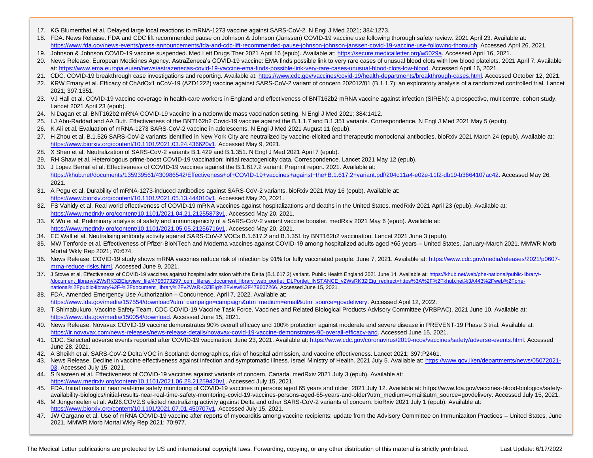- 17. KG Blumenthal et al. Delayed large local reactions to mRNA-1273 vaccine against SARS-CoV-2. N Engl J Med 2021; 384:1273.
- 18. FDA. News Release. FDA and CDC lift recommended pause on Johnson & Johnson (Janssen) COVID-19 vaccine use following thorough safety review. 2021 April 23. Available at: [https://www.fda.gov/news-events/press-announcements/fda-and-cdc-lift-recommended-pause-johnson-johnson-janssen-covid-19-vaccine-use-following-thorough.](https://www.fda.gov/news-events/press-announcements/fda-and-cdc-lift-recommended-pause-johnson-johnson-janssen-covid-19-vaccine-use-following-thorough) Accessed April 26, 2021.
- 19. Johnson & Johnson COVID-19 vaccine suspended. Med Lett Drugs Ther 2021 April 16 (epub). Available at[: https://secure.medicalletter.org/w5029a.](https://secure.medicalletter.org/w5029a) Accessed April 16, 2021.
- 20. News Release. European Medicines Agency. AstraZeneca's COVID-19 vaccine: EMA finds possible link to very rare cases of unusual blood clots with low blood platelets. 2021 April 7. Available at[: https://www.ema.europa.eu/en/news/astrazenecas-covid-19-vaccine-ema-finds-possible-link-very-rare-cases-unusual-blood-clots-low-blood.](https://www.ema.europa.eu/en/news/astrazenecas-covid-19-vaccine-ema-finds-possible-link-very-rare-cases-unusual-blood-clots-low-blood) Accessed April 16, 2021.
- 21. CDC. COVID-19 breakthrough case investigations and reporting. Available at: [https://www.cdc.gov/vaccines/covid-19/health-departments/breakthrough-cases.html.](https://www.cdc.gov/vaccines/covid-19/health-departments/breakthrough-cases.html) Accessed October 12, 2021.
- 22. KRW Emary et al. Efficacy of ChAdOx1 nCoV-19 (AZD1222) vaccine against SARS-CoV-2 variant of concern 202012/01 (B.1.1.7): an exploratory analysis of a randomized controlled trial. Lancet 2021; 397:1351.
- 23. VJ Hall et al. COVID-19 vaccine coverage in health-care workers in England and effectiveness of BNT162b2 mRNA vaccine against infection (SIREN): a prospective, multicentre, cohort study. Lancet 2021 April 23 (epub).
- 24. N Dagan et al. BNT162b2 mRNA COVID-19 vaccine in a nationwide mass vaccination setting. N Engl J Med 2021; 384:1412.
- 25. LJ Abu-Raddad and AA Butt. Effectiveness of the BNT162b2 Covid-19 vaccine against the B.1.1.7 and B.1.351 variants. Correspondence. N Engl J Med 2021 May 5 (epub).
- 26. K Ali et al. Evaluation of mRNA-1273 SARS-CoV-2 vaccine in adolescents. N Engl J Med 2021 August 11 (epub).
- 27. H Zhou et al. B.1.526 SARS-CoV-2 variants identified in New York City are neutralized by vaccine-elicited and therapeutic monoclonal antibodies. bioRxiv 2021 March 24 (epub). Available at: [https://www.biorxiv.org/content/10.1101/2021.03.24.436620v1.](https://www.biorxiv.org/content/10.1101/2021.03.24.436620v1) Accessed May 9, 2021.
- 28. X Shen et al. Neutralization of SARS-CoV-2 variants B.1.429 and B.1.351. N Engl J Med 2021 April 7 (epub).
- 29. RH Shaw et al. Heterologous prime-boost COVID-19 vaccination: initial reactogenicity data. Correspondence. Lancet 2021 May 12 (epub).
- 30. J Lopez Bernal et al. Effectiveness of COVID-19 vaccines against the B.1.617.2 variant. Preprint report. 2021. Available at: [https://khub.net/documents/135939561/430986542/Effectiveness+of+COVID-19+vaccines+against+the+B.1.617.2+variant.pdf/204c11a4-e02e-11f2-db19-b3664107ac42.](https://khub.net/documents/135939561/430986542/Effectiveness+of+COVID-19+vaccines+against+the+B.1.617.2+variant.pdf/204c11a4-e02e-11f2-db19-b3664107ac42) Accessed May 26, 2021.
- 31. A Pegu et al. Durability of mRNA-1273-induced antibodies against SARS-CoV-2 variants. bioRxiv 2021 May 16 (epub). Available at: [https://www.biorxiv.org/content/10.1101/2021.05.13.444010v1.](https://www.biorxiv.org/content/10.1101/2021.05.13.444010v1) Accessed May 20, 2021.
- 32. FS Vahidy et al. Real world effectiveness of COVID-19 mRNA vaccines against hospitalizations and deaths in the United States. medRxiv 2021 April 23 (epub). Available at: [https://www.medrxiv.org/content/10.1101/2021.04.21.21255873v1.](https://www.medrxiv.org/content/10.1101/2021.04.21.21255873v1) Accessed May 20, 2021.
- 33. K Wu et al. Preliminary analysis of safety and immunogenicity of a SARS-CoV-2 variant vaccine booster. medRxiv 2021 May 6 (epub). Available at: [https://www.medrxiv.org/content/10.1101/2021.05.05.21256716v1.](https://www.medrxiv.org/content/10.1101/2021.05.05.21256716v1) Accessed May 20, 2021.
- 34. EC Wall et al. Neutralising antibody activity against SARS-CoV-2 VOCs B.1.617.2 and B.1.351 by BNT162b2 vaccination. Lancet 2021 June 3 (epub).
- 35. MW Tenforde et al. Effectiveness of Pfizer-BioNTech and Moderna vaccines against COVID-19 among hospitalized adults aged ≥65 years United States, January-March 2021. MMWR Morb Mortal Wkly Rep 2021; 70:674.
- 36. News Release. COVID-19 study shows mRNA vaccines reduce risk of infection by 91% for fully vaccinated people. June 7, 2021. Available at[: https://www.cdc.gov/media/releases/2021/p0607](https://www.cdc.gov/media/releases/2021/p0607-mrna-reduce-risks.html) [mrna-reduce-risks.html.](https://www.cdc.gov/media/releases/2021/p0607-mrna-reduce-risks.html) Accessed June 9, 2021.
- 37. J Stowe et al. Effectiveness of COVID-19 vaccines against hospital admission with the Delta (B.1.617.2) variant. Public Health England 2021 June 14. Available at[: https://khub.net/web/phe-national/public-library/-](https://khub.net/web/phe-national/public-library/-/document_library/v2WsRK3ZlEig/view_file/479607329?_com_liferay_document_library_web_portlet_DLPortlet_INSTANCE_v2WsRK3ZlEig_redirect=https%3A%2F%2Fkhub.net%3A443%2Fweb%2Fphe-national%2Fpublic-library%2F-%2Fdocument_library%2Fv2WsRK3ZlEig%2Fview%2F479607266) [/document\\_library/v2WsRK3ZlEig/view\\_file/479607329?\\_com\\_liferay\\_document\\_library\\_web\\_portlet\\_DLPortlet\\_INSTANCE\\_v2WsRK3ZlEig\\_redirect=https%3A%2F%2Fkhub.net%3A443%2Fweb%2Fphe](https://khub.net/web/phe-national/public-library/-/document_library/v2WsRK3ZlEig/view_file/479607329?_com_liferay_document_library_web_portlet_DLPortlet_INSTANCE_v2WsRK3ZlEig_redirect=https%3A%2F%2Fkhub.net%3A443%2Fweb%2Fphe-national%2Fpublic-library%2F-%2Fdocument_library%2Fv2WsRK3ZlEig%2Fview%2F479607266)[national%2Fpublic-library%2F-%2Fdocument\\_library%2Fv2WsRK3ZlEig%2Fview%2F479607266.](https://khub.net/web/phe-national/public-library/-/document_library/v2WsRK3ZlEig/view_file/479607329?_com_liferay_document_library_web_portlet_DLPortlet_INSTANCE_v2WsRK3ZlEig_redirect=https%3A%2F%2Fkhub.net%3A443%2Fweb%2Fphe-national%2Fpublic-library%2F-%2Fdocument_library%2Fv2WsRK3ZlEig%2Fview%2F479607266) Accessed June 15, 2021.
- 38. FDA. Amended Emergency Use Authorization Concurrence. April 7, 2022. Available at: [https://www.fda.gov/media/157554/download?utm\\_campaign=campaign&utm\\_medium=email&utm\\_source=govdelivery.](https://www.fda.gov/media/157554/download?utm_campaign=campaign&utm_medium=email&utm_source=govdelivery) Accessed April 12, 2022.
- 39. T Shimabukuro. Vaccine Safety Team. CDC COVID-19 Vaccine Task Force. Vaccines and Related Biological Products Advisory Committee (VRBPAC). 2021 June 10. Available at: [https://www.fda.gov/media/150054/download.](https://www.fda.gov/media/150054/download) Accessed June 15, 2021.
- 40. News Release. Novavax COVID-19 vaccine demonstrates 90% overall efficacy and 100% protection against moderate and severe disease in PREVENT-19 Phase 3 trial. Available at: [https://ir.novavax.com/news-releases/news-release-details/novavax-covid-19-vaccine-demonstrates-90-overall-efficacy-and.](https://ir.novavax.com/news-releases/news-release-details/novavax-covid-19-vaccine-demonstrates-90-overall-efficacy-and) Accessed June 15, 2021.
- 41. CDC. Selected adverse events reported after COVID-19 vaccination. June 23, 2021. Available at: [https://www.cdc.gov/coronavirus/2019-ncov/vaccines/safety/adverse-events.html.](https://www.cdc.gov/coronavirus/2019-ncov/vaccines/safety/adverse-events.html) Accessed June 28, 2021.
- 42. A Sheikh et al. SARS-CoV-2 Delta VOC in Scotland: demographics, risk of hospital admission, and vaccine effectiveness. Lancet 2021; 397:P2461.
- 43. News Release. Decline in vaccine effectiveness against infection and symptomatic illness. Israel Ministry of Health. 2021 July 5. Available at[: https://www.gov.il/en/departments/news/05072021-](https://www.gov.il/en/departments/news/05072021-03) [03.](https://www.gov.il/en/departments/news/05072021-03) Accessed July 15, 2021.
- 44. S Nasreen et al. Effectiveness of COVID-19 vaccines against variants of concern, Canada. medRxiv 2021 July 3 (epub). Available at: [https://www.medrxiv.org/content/10.1101/2021.06.28.21259420v1.](https://www.medrxiv.org/content/10.1101/2021.06.28.21259420v1) Accessed July 15, 2021.
- 45. FDA. Initial results of near real-time safety monitoring of COVID-19 vaccines in persons aged 65 years and older. 2021 July 12. Available at: https://www.fda.gov/vaccines-blood-biologics/safetyavailability-biologics/initial-results-near-real-time-safety-monitoring-covid-19-vaccines-persons-aged-65-years-and-older?utm\_medium=email&utm\_source=govdelivery. Accessed July 15, 2021.
- 46. M Jongeneelen et al. Ad26.COV2.S elicited neutralizing activity against Delta and other SARS-CoV-2 variants of concern. bioRxiv 2021 July 1 (epub). Available at: [https://www.biorxiv.org/content/10.1101/2021.07.01.450707v1.](https://www.biorxiv.org/content/10.1101/2021.07.01.450707v1) Accessed July 15, 2021.
- 47. JW Gargano et al. Use of mRNA COVID-19 vaccine after reports of myocarditis among vaccine recipients: update from the Advisory Committee on Immunizaiton Practices United States, June 2021. MMWR Morb Mortal Wkly Rep 2021; 70:977.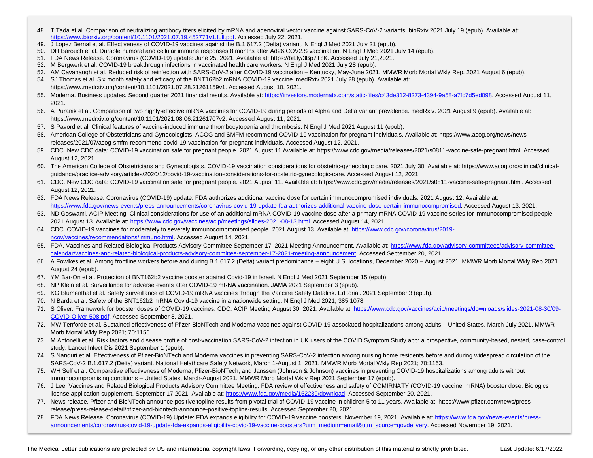- 48. T Tada et al. Comparison of neutralizing antibody titers elicited by mRNA and adenoviral vector vaccine against SARS-CoV-2 variants. bioRxiv 2021 July 19 (epub). Available at: [https://www.biorxiv.org/content/10.1101/2021.07.19.452771v1.full.pdf.](https://www.biorxiv.org/content/10.1101/2021.07.19.452771v1.full.pdf) Accessed July 22, 2021.
- 49. J Lopez Bernal et al. Effectiveness of COVID-19 vaccines against the B.1.617.2 (Delta) variant. N Engl J Med 2021 July 21 (epub).
- 50. DH Barouch et al. Durable humoral and cellular immune responses 8 months after Ad26.COV2.S vaccination. N Engl J Med 2021 July 14 (epub).
- 51. FDA News Release. Coronavirus (COVID-19) update: June 25, 2021. Available at: https://bit.ly/3Bp7TpK. Accessed July 21,2021.
- 52. M Bergwerk et al. COVID-19 breakthrough infections in vaccinated health care workers. N Engl J Med 2021 July 28 (epub).
- 53. AM Cavanaugh et al. Reduced risk of reinfection with SARS-CoV-2 after COVID-19 vaccination Kentucky, May-June 2021. MMWR Morb Mortal Wkly Rep. 2021 August 6 (epub).
- 54. SJ Thomas et al. Six month safety and efficacy of the BNT162b2 mRNA COVID-19 vaccine. medRxiv 2021 July 28 (epub). Available at: https://www.medrxiv.org/content/10.1101/2021.07.28.21261159v1. Accessed August 10, 2021.
- 55. Moderna. Business updates. Second quarter 2021 financial results. Available at[: https://investors.modernatx.com/static-files/c43de312-8273-4394-9a58-a7fc7d5ed098.](https://investors.modernatx.com/static-files/c43de312-8273-4394-9a58-a7fc7d5ed098) Accessed August 11, 2021.
- 56. A Puranik et al. Comparison of two highly-effective mRNA vaccines for COVID-19 during periods of Alpha and Delta variant prevalence. medRxiv. 2021 August 9 (epub). Available at: https://www.medrxiv.org/content/10.1101/2021.08.06.21261707v2. Accessed August 11, 2021.
- 57. S Pavord et al. Clinical features of vaccine-induced immune thrombocytopenia and thrombosis. N Engl J Med 2021 August 11 (epub).
- 58. American College of Obstetricians and Gynecologists. ACOG and SMFM recommend COVID-19 vaccination for pregnant individuals. Available at: https://www.acog.org/news/newsreleases/2021/07/acog-smfm-recommend-covid-19-vaccination-for-pregnant-individuals. Accessed August 12, 2021.
- 59. CDC. New CDC data: COVID-19 vaccination safe for pregnant people. 2021 August 11 Available at: https://www.cdc.gov/media/releases/2021/s0811-vaccine-safe-pregnant.html. Accessed August 12, 2021.
- 60. The American College of Obstetricians and Gynecologists. COVID-19 vaccination considerations for obstetric-gynecologic care. 2021 July 30. Available at: https://www.acog.org/clinical/clinicalguidance/practice-advisory/articles/2020/12/covid-19-vaccination-considerations-for-obstetric-gynecologic-care. Accessed August 12, 2021.
- 61. CDC. New CDC data: COVID-19 vaccination safe for pregnant people. 2021 August 11. Available at: https://www.cdc.gov/media/releases/2021/s0811-vaccine-safe-pregnant.html. Accessed August 12, 2021.
- 62. FDA News Release. Coronavirus (COVID-19) update: FDA authorizes additional vaccine dose for certain immunocompromised individuals. 2021 August 12. Available at: [https://www.fda.gov/news-events/press-announcements/coronavirus-covid-19-update-fda-authorizes-additional-vaccine-dose-certain-immunocompromised.](https://www.fda.gov/news-events/press-announcements/coronavirus-covid-19-update-fda-authorizes-additional-vaccine-dose-certain-immunocompromised) Accessed August 13, 2021.
- 2021 August 13. Available at: [https://www.cdc.gov/vaccines/acip/meetings/slides-2021-08-13.html.](https://www.cdc.gov/vaccines/acip/meetings/slides-2021-08-13.html) Accessed August 14, 2021.<br>CDC 0.00 %D 1.00 %D 1.00 %D 1.00 %D 1.00 %D 1.00 %D 1.00 %D 1.00 %D 1.00 %D 1.00 %D 1.00 %D 1.00 %D 63. ND Goswami. ACIP Meeting. Clinical considerations for use of an additional mRNA COVID-19 vaccine dose after a primary mRNA COVID-19 vaccine series for immunocompromised people.
- 64. CDC. COVID-19 vaccines for moderately to severely immunocompromised people. 2021 August 13. Available at[: https://www.cdc.gov/coronavirus/2019](https://www.cdc.gov/coronavirus/2019-ncov/vaccines/recommendations/immuno.html) [ncov/vaccines/recommendations/immuno.html.](https://www.cdc.gov/coronavirus/2019-ncov/vaccines/recommendations/immuno.html) Accessed August 14, 2021.
- 65. FDA. Vaccines and Related Biological Products Advisory Committee September 17, 2021 Meeting Announcement. Available at[: https://www.fda.gov/advisory-committees/advisory-committee](https://www.fda.gov/advisory-committees/advisory-committee-calendar/vaccines-and-related-biological-products-advisory-committee-september-17-2021-meeting-announcement)[calendar/vaccines-and-related-biological-products-advisory-committee-september-17-2021-meeting-announcement.](https://www.fda.gov/advisory-committees/advisory-committee-calendar/vaccines-and-related-biological-products-advisory-committee-september-17-2021-meeting-announcement) Accessed September 20, 2021.
- 66. A Fowlkes et al. Among frontline workers before and during B.1.617.2 (Delta) variant predominance eight U.S. locations, December 2020 August 2021. MMWR Morb Mortal Wkly Rep 2021 August 24 (epub).
- 67. YM Bar-On et al. Protection of BNT162b2 vaccine booster against Covid-19 in Israel. N Engl J Med 2021 September 15 (epub).
- 68. NP Klein et al. Surveillance for adverse events after COVID-19 mRNA vaccination. JAMA 2021 September 3 (epub).
- 69. KG Blumenthal et al. Safety surveillance of COVID-19 mRNA vaccines through the Vaccine Safety Datalink. Editorial. 2021 September 3 (epub).
- 70. N Barda et al. Safety of the BNT162b2 mRNA Covid-19 vaccine in a nationwide setting. N Engl J Med 2021; 385:1078.
- 71. S Oliver. Framework for booster doses of COVID-19 vaccines. CDC. ACIP Meeting August 30, 2021. Available at[: https://www.cdc.gov/vaccines/acip/meetings/downloads/slides-2021-08-30/09-](https://www.cdc.gov/vaccines/acip/meetings/downloads/slides-2021-08-30/09-COVID-Oliver-508.pdf) [COVID-Oliver-508.pdf.](https://www.cdc.gov/vaccines/acip/meetings/downloads/slides-2021-08-30/09-COVID-Oliver-508.pdf) Accessed September 8, 2021.
- 72. MW Tenforde et al. Sustained effectiveness of Pfizer-BioNTech and Moderna vaccines against COVID-19 associated hospitalizations among adults United States, March-July 2021. MMWR Morb Mortal Wkly Rep 2021; 70:1156.
- 73. M Antonelli et al. Risk factors and disease profile of post-vaccination SARS-CoV-2 infection in UK users of the COVID Symptom Study app: a prospective, community-based, nested, case-control study. Lancet Infect Dis 2021 September 1 (epub).
- 74. S Nanduri et al. Effectiveness of Pfizer-BioNTech and Moderna vaccines in preventing SARS-CoV-2 infection among nursing home residents before and during widespread circulation of the SARS-CoV-2 B.1.617.2 (Delta) variant. National Helathcare Safety Network, March 1-August 1, 2021. MMWR Morb Mortal Wkly Rep 2021; 70:1163.
- 75. WH Self et al. Comparative effectiveness of Moderna, Pfizer-BioNTech, and Janssen (Johnson & Johnson) vaccines in preventing COVID-19 hospitalizations among adults without immunocompromising conditions – United States, March-August 2021. MMWR Morb Mortal Wkly Rep 2021 September 17 (epub).
- 76. J Lee. Vaccines and Related Biological Products Advisory Committee Meeting. FDA review of effectiveness and safety of COMIRNATY (COVID-19 vaccine, mRNA) booster dose. Biologics license application supplement. September 17,2021. Available at[: https://www.fda.gov/media/152239/download.](https://www.fda.gov/media/152239/download) Accessed September 20, 2021.
- 77. News release. Pfizer and BioNTech announce positive topline results from pivotal trial of COVID-19 vaccine in children 5 to 11 years. Available at: https://www.pfizer.com/news/pressrelease/press-release-detail/pfizer-and-biontech-announce-positive-topline-results. Accessed September 20, 2021.
- 78. FDA News Release. Coronavirus (COVID-19) Update: FDA expands eligibility for COVID-19 vaccine boosters. November 19, 2021. Available at: [https://www.fda.gov/news-events/press](https://www.fda.gov/news-events/press-announcements/coronavirus-covid-19-update-fda-expands-eligibility-covid-19-vaccine-boosters?utm_medium=email&utm_source=govdelivery)[announcements/coronavirus-covid-19-update-fda-expands-eligibility-covid-19-vaccine-boosters?utm\\_medium=email&utm\\_source=govdelivery.](https://www.fda.gov/news-events/press-announcements/coronavirus-covid-19-update-fda-expands-eligibility-covid-19-vaccine-boosters?utm_medium=email&utm_source=govdelivery) Accessed November 19, 2021.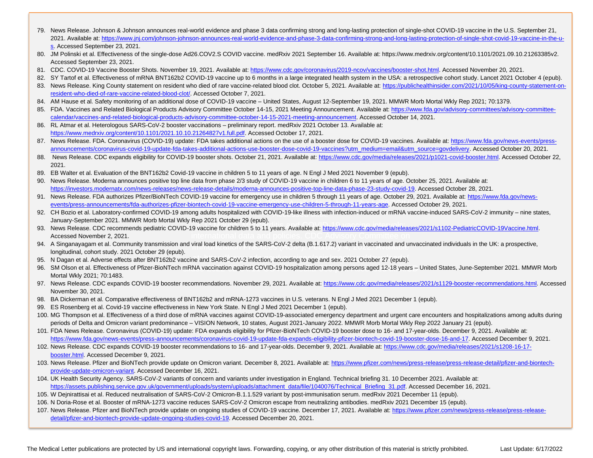- 79. News Release. Johnson & Johnson announces real-world evidence and phase 3 data confirming strong and long-lasting protection of single-shot COVID-19 vaccine in the U.S. September 21, 2021. Available at: https://www.jnj.com/johnson-johnson-announces-real-world-evidence-and-phase-3-data-confirming-strong-and-long-lasting-protection-of-single-shot-covid-19-vaccine-in-the-us. Accessed September 23, 2021.
- 80. JM Polinski et al. Effectiveness of the single-dose Ad26.COV2.S COVID vaccine. medRxiv 2021 September 16. Available at: https://www.medrxiv.org/content/10.1101/2021.09.10.21263385v2. Accessed September 23, 2021.
- 81. CDC. COVID-19 Vaccine Booster Shots. November 19, 2021. Available at: https://www.cdc.gov/coronavirus/2019-ncov/vaccines/booster-shot.html. Accessed November 20, 2021.
- 82. SY Tartof et al. Effectiveness of mRNA BNT162b2 COVID-19 vaccine up to 6 months in a large integrated health system in the USA: a retrospective cohort study. Lancet 2021 October 4 (epub).
- 83. News Release. King County statement on resident who died of rare vaccine-related blood clot. October 5, 2021. Available at: https://publichealthinsider.com/2021/10/05/king-county-statement-onresident-who-died-of-rare-vaccine-related-blood-clot/. Accessed October 7, 2021.
- 84. AM Hause et al. Safety monitoring of an additional dose of COVID-19 vaccine United States, August 12-September 19, 2021. MMWR Morb Mortal Wkly Rep 2021; 70:1379.
- 85. FDA. Vaccines and Related Biological Products Advisory Committee October 14-15, 2021 Meeting Announcement. Available at: https://www.fda.gov/advisory-committees/advisory-committeecalendar/vaccines-and-related-biological-products-advisory-committee-october-14-15-2021-meeting-announcement. Accessed October 14, 2021.
- 86. RL Atmar et al. Heterologous SARS-CoV-2 booster vaccinations preliminary report. medRxiv 2021 October 13. Available at: https://www.medrxiv.org/content/10.1101/2021.10.10.21264827v1.full.pdf. Accessed October 17, 2021.
- 87. News Release. FDA. Coronavirus (COVID-19) update: FDA takes additional actions on the use of a booster dose for COVID-19 vaccines. Available at: https://www.fda.gov/news-events/pressannouncements/coronavirus-covid-19-update-fda-takes-additional-actions-use-booster-dose-covid-19-vaccines?utm\_medium=email&utm\_source=govdelivery. Accessed October 20, 2021.
- 88. News Release. CDC expands eligibility for COVID-19 booster shots. October 21, 2021. Available at: https://www.cdc.gov/media/releases/2021/p1021-covid-booster.html. Accessed October 22, 2021.
- 89. EB Walter et al. Evaluation of the BNT162b2 Covid-19 vaccine in children 5 to 11 years of age. N Engl J Med 2021 November 9 (epub).
- 90. News Release. Moderna announces positive top line data from phase 2/3 study of COVID-19 vaccine in children 6 to 11 years of age. October 25, 2021. Available at: https://investors.modernatx.com/news-releases/news-release-details/moderna-announces-positive-top-line-data-phase-23-study-covid-19. Accessed October 28, 2021.
- ntips://investors.modernarx.com/news-releases/news-release-details/moderna-announces-positive-top-line-data-phase-z3-study-covid-19. Accessed October 26, 2021.<br>91. News Release. FDA authorizes Pfizer/BioNTech COVID-19 vacc events/press-announcements/fda-authorizes-pfizer-biontech-covid-19-vaccine-emergency-use-children-5-through-11-years-age. Accessed October 29, 2021.
- 92. CH Bozio et al. Laboratory-confirmed COVID-19 among adults hospitalized with COVID-19-like illness with infection-induced or mRNA vaccine-induced SARS-CoV-2 immunity nine states, January-September 2021. MMWR Morb Mortal Wkly Rep 2021 October 29 (epub).
- 93. News Release. CDC recommends pediatric COVID-19 vaccine for children 5 to 11 years. Available at: https://www.cdc.gov/media/releases/2021/s1102-PediatricCOVID-19Vaccine.html. Accessed November 2, 2021.
- 94. A Singanayagam et al. Community transmission and viral load kinetics of the SARS-CoV-2 delta (B.1.617.2) variant in vaccinated and unvaccinated individuals in the UK: a prospective,<br>Sacrivative Laterated the Corrective longitudinal, cohort study. 2021 October 29 (epub).
- ation megacumum, concretacy, exerciting correct as (epiny.<br>95. N Dagan et al. Adverse effects after BNT162b2 vaccine and SARS-CoV-2 infection, according to age and sex. 2021 October 27 (epub).
- 96. SM Olson et al. Effectiveness of Pfizer-BioNTech mRNA vaccination against COVID-19 hospitalization among persons aged 12-18 years United States, June-September 2021. MMWR Morb Mortal Wkly 2021; 70:1483.
- 97. News Release. CDC expands COVID-19 booster recommendations. November 29, 2021. Available at: https://www.cdc.gov/media/releases/2021/s1129-booster-recommendations.html. Accessed November 30, 2021.
- 98. BA Dickerman et al. Comparative effectiveness of BNT162b2 and mRNA-1273 vaccines in U.S. veterans. N Engl J Med 2021 December 1 (epub).
- 99. ES Rosenberg et al. Covid-19 vaccine effectiveness in New York State. N Engl J Med 2021 December 1 (epub).
- 100. MG Thompson et al. Effectiveness of a third dose of mRNA vaccines against COVID-19-associated emergency department and urgent care encounters and hospitalizations among adults during periods of Delta and Omicron variant predominance – VISION Network, 10 states, August 2021-January 2022. MMWR Morb Mortal Wkly Rep 2022 January 21 (epub).
- 101. FDA News Release. Coronavirus (COVID-19) update: FDA expands eligibility for Pfizer-BioNTech COVID-19 booster dose to 16- and 17-year-olds. December 9, 2021. Available at: https://www.fda.gov/news-events/press-announcements/coronavirus-covid-19-update-fda-expands-eligibility-pfizer-biontech-covid-19-booster-dose-16-and-17. Accessed December 9, 2021.
- 102. News Release. CDC expands COVID-19 booster recommendations to 16- and 17-year-olds. December 9, 2021. Available at: https://www.cdc.gov/media/releases/2021/s1208-16-17 booster.html. Accessed December 9, 2021.
- 103. News Release. Pfizer and BioNTech provide update on Omicron variant. December 8, 2021. Available at: https://www.pfizer.com/news/press-release/press-release-detail/pfizer-and-biontechprovide-update-omicron-variant. Accessed December 16, 2021.
- 104. UK Health Security Agency. SARS-CoV-2 variants of concern and variants under investigation in England. Technical briefing 31. 10 December 2021. Available at: https://assets.publishing.service.gov.uk/government/uploads/system/uploads/attachment\_data/file/1040076/Technical\_Briefing\_31.pdf. Accessed December 16, 2021.
- 105. W Dejnirattisai et al. Reduced neutralisation of SARS-CoV-2 Omicron-B.1.1.529 variant by post-immunisation serum. medRxiv 2021 December 11 (epub).
- 106. N Doria-Rose et al. Booster of mRNA-1273 vaccine reduces SARS-CoV-2 Omicron escape from neutralizing antibodies. medRxiv 2021 December 15 (epub).
- 107. News Release. Pfizer and BioNTech provide update on ongoing studies of COVID-19 vaccine. December 17, 2021. Available at: https://www.pfizer.com/news/press-release/press-releasedetail/pfizer-and-biontech-provide-update-ongoing-studies-covid-19. Accessed December 20, 2021.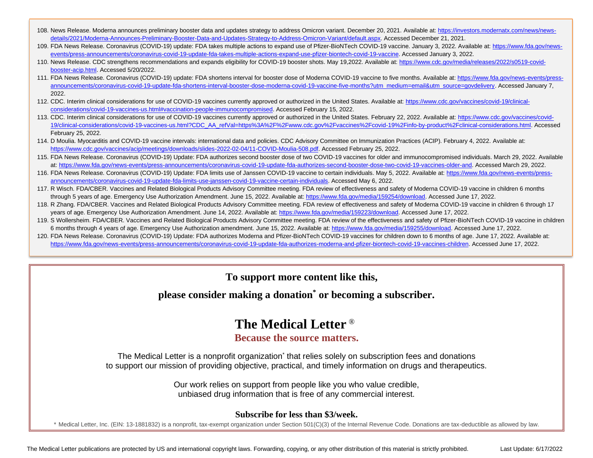- 108. News Release. Moderna announces preliminary booster data and updates strategy to address Omicron variant. December 20, 2021. Available at: https://investors.modernatx.com/news/newsdetails/2021/Moderna-Announces-Preliminary-Booster-Data-and-Updates-Strategy-to-Address-Omicron-Variant/default.aspx. Accessed December 21, 2021.
- 109. FDA News Release. Coronavirus (COVID-19) update: FDA takes multiple actions to expand use of Pfizer-BioNTech COVID-19 vaccine. January 3, 2022. Available at: https://www.fda.gov/newsevents/press-announcements/coronavirus-covid-19-update-fda-takes-multiple-actions-expand-use-pfizer-biontech-covid-19-vaccine. Accessed January 3, 2022.
- 110. News Release. CDC strengthens recommendations and expands eligibility for COVID-19 booster shots. May 19,2022. Available at: https://www.cdc.gov/media/releases/2022/s0519-covidbooster-acip.html. Accessed 5/20/2022.
- 111. FDA News Release. Coronavirus (COVID-19) update: FDA shortens interval for booster dose of Moderna COVID-19 vaccine to five months. Available at: https://www.fda.gov/news-events/pressannouncements/coronavirus-covid-19-update-fda-shortens-interval-booster-dose-moderna-covid-19-vaccine-five-months?utm\_medium=email&utm\_source=govdelivery. Accessed January 7, 2022.
- 112. CDC. Interim clinical considerations for use of COVID-19 vaccines currently approved or authorized in the United States. Available at: https://www.cdc.gov/vaccines/covid-19/clinicalconsiderations/covid-19-vaccines-us.html#vaccination-people-immunocompromised. Accessed February 15, 2022.
- 113. CDC. Interim clinical considerations for use of COVID-19 vaccines currently approved or authorized in the United States. February 22, 2022. Available at: https://www.cdc.gov/vaccines/covid-19/clinical-considerations/covid-19-vaccines-us.html?CDC\_AA\_refVal=https%3A%2F%2Fwww.cdc.gov%2Fvaccines%2Fcovid-19%2Finfo-by-product%2Fclinical-considerations.html. Accessed February 25, 2022.
- rebruary 25, 2022.<br>114. D Moulia. Myocarditis and COVID-19 vaccine intervals: international data and policies. CDC Advisory Committee on Immunization Practices (ACIP). February 4, 2022. Available at: https://www.cdc.gov/vaccines/acip/meetings/downloads/slides-2022-02-04/11-COVID-Moulia-508.pdf. Accessed February 25, 2022.
- 115. FDA News Release. Coronavirus (COVID-19) Update: FDA authorizes second booster dose of two COVID-19 vaccines for older and immunocompromised individuals. March 29, 2022. Available at: https://www.fda.gov/news-events/press-announcements/coronavirus-covid-19-update-fda-authorizes-second-booster-dose-two-covid-19-vaccines-older-and. Accessed March 29, 2022.
- 116. FDA News Release. Coronavirus (COVID-19) Update: FDA limits use of Janssen COVID-19 vaccine to certain individuals. May 5, 2022. Available at: https://www.fda.gov/news-events/pressannouncements/coronavirus-covid-19-update-fda-limits-use-janssen-covid-19-vaccine-certain-individuals. Accessed May 6, 2022.
- 117. R Wisch. FDA/CBER. Vaccines and Related Biological Products Advisory Committee meeting. FDA review of effectiveness and safety of Moderna COVID-19 vaccine in children 6 months through 5 years of age. Emergency Use Authorization Amendment. June 15, 2022. Available at: https://www.fda.gov/media/159254/download. Accessed June 17, 2022.
- 118. R Zhang. FDA/CBER. Vaccines and Related Biological Products Advisory Committee meeting. FDA review of effectiveness and safety of Moderna COVID-19 vaccine in children 6 through 17 years of age. Emergency Use Authorization Amendment. June 14, 2022. Available at: https://www.fda.gov/media/159223/download. Accessed June 17, 2022.
- 119. S Wollersheim. FDA/CBER. Vaccines and Related Biological Products Advisory Committee meeting. FDA review of the effectiveness and safety of Pfizer-BioNTech COVID-19 vaccine in children 6 months through 4 years of age. Emergency Use Authorization amendment. June 15, 2022. Available at: https://www.fda.gov/media/159255/download. Accessed June 17, 2022.
- 120. FDA News Release. Coronavirus (COVID-19) Update: FDA authorizes Moderna and Pfizer-BioNTech COVID-19 vaccines for children down to 6 months of age. June 17, 2022. Available at: https://www.fda.gov/news-events/press-announcements/coronavirus-covid-19-update-fda-authorizes-moderna-and-pfizer-biontech-covid-19-vaccines-children. Accessed June 17, 2022.

**To support more content like this,**

**please consider making a donation\* or becoming a subscriber.**

## **The Medical Letter** ®

## **Because the source matters.**

The Medical Letter is a nonprofit organization<sup>\*</sup> that relies solely on subscription fees and donations to support our mission of providing objective, practical, and timely information on drugs and therapeutics.

> Our work relies on support from people like you who value credible, unbiased drug information that is free of any commercial interest.

### **Subscribe for less than \$3/week.**

\* Medical Letter, Inc. (EIN: 13-1881832) is a nonprofit, tax-exempt organization under Section 501(C)(3) of the Internal Revenue Code. Donations are tax-deductible as allowed by law.